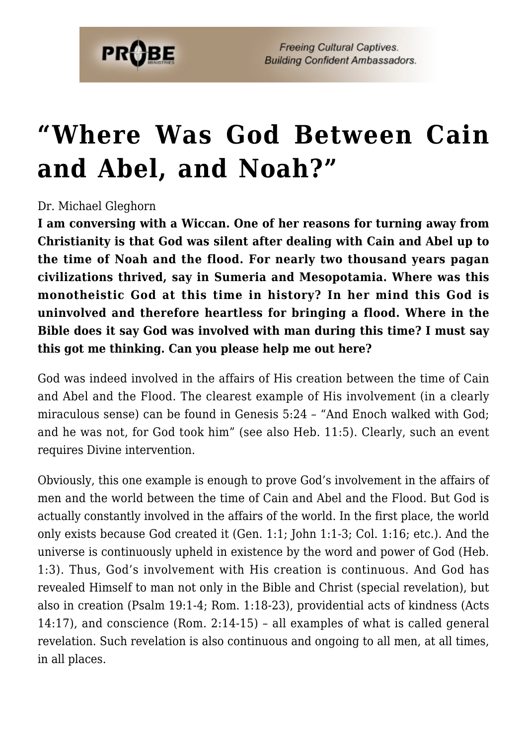

## **["Where Was God Between Cain](https://probe.org/where-was-god-between-cain-and-abel-and-noah/) [and Abel, and Noah?"](https://probe.org/where-was-god-between-cain-and-abel-and-noah/)**

## Dr. Michael Gleghorn

**I am conversing with a Wiccan. One of her reasons for turning away from Christianity is that God was silent after dealing with Cain and Abel up to the time of Noah and the flood. For nearly two thousand years pagan civilizations thrived, say in Sumeria and Mesopotamia. Where was this monotheistic God at this time in history? In her mind this God is uninvolved and therefore heartless for bringing a flood. Where in the Bible does it say God was involved with man during this time? I must say this got me thinking. Can you please help me out here?**

God was indeed involved in the affairs of His creation between the time of Cain and Abel and the Flood. The clearest example of His involvement (in a clearly miraculous sense) can be found in Genesis 5:24 – "And Enoch walked with God; and he was not, for God took him" (see also Heb. 11:5). Clearly, such an event requires Divine intervention.

Obviously, this one example is enough to prove God's involvement in the affairs of men and the world between the time of Cain and Abel and the Flood. But God is actually constantly involved in the affairs of the world. In the first place, the world only exists because God created it (Gen. 1:1; John 1:1-3; Col. 1:16; etc.). And the universe is continuously upheld in existence by the word and power of God (Heb. 1:3). Thus, God's involvement with His creation is continuous. And God has revealed Himself to man not only in the Bible and Christ (special revelation), but also in creation (Psalm 19:1-4; Rom. 1:18-23), providential acts of kindness (Acts 14:17), and conscience (Rom. 2:14-15) – all examples of what is called general revelation. Such revelation is also continuous and ongoing to all men, at all times, in all places.